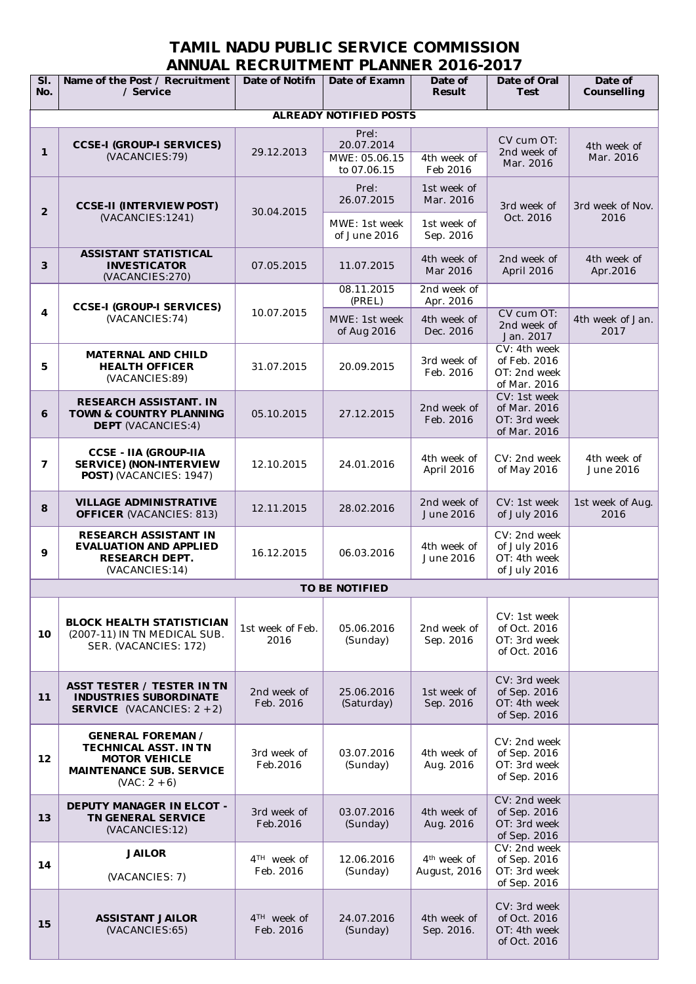## **TAMIL NADU PUBLIC SERVICE COMMISSION ANNUAL RECRUITMENT PLANNER 2016-2017**

| SI.<br>No.              | Name of the Post / Recruitment<br>/ Service                                                                                           | Date of Notifn                       | Date of Examn                 | Date of<br><b>Result</b>                | Date of Oral<br><b>Test</b>                                  | Date of<br>Counselling   |
|-------------------------|---------------------------------------------------------------------------------------------------------------------------------------|--------------------------------------|-------------------------------|-----------------------------------------|--------------------------------------------------------------|--------------------------|
|                         |                                                                                                                                       |                                      | <b>ALREADY NOTIFIED POSTS</b> |                                         |                                                              |                          |
| $\mathbf 1$             | <b>CCSE-I (GROUP-I SERVICES)</b><br>(VACANCIES:79)                                                                                    | 29.12.2013                           | Prel:<br>20.07.2014           |                                         | CV cum OT:<br>2nd week of<br>Mar. 2016                       | 4th week of<br>Mar. 2016 |
|                         |                                                                                                                                       |                                      | MWE: 05.06.15<br>to 07.06.15  | 4th week of<br>Feb 2016                 |                                                              |                          |
| $\overline{2}$          | <b>CCSE-II (INTERVIEW POST)</b><br>(VACANCIES:1241)                                                                                   | 30.04.2015                           | Prel:<br>26.07.2015           | 1st week of<br>Mar. 2016                | 3rd week of<br>Oct. 2016                                     | 3rd week of Nov.<br>2016 |
|                         |                                                                                                                                       |                                      | MWE: 1st week<br>of June 2016 | 1st week of<br>Sep. 2016                |                                                              |                          |
| 3                       | <b>ASSISTANT STATISTICAL</b><br><b>INVESTICATOR</b><br>(VACANCIES:270)                                                                | 07.05.2015                           | 11.07.2015                    | 4th week of<br>Mar 2016                 | 2nd week of<br>April 2016                                    | 4th week of<br>Apr.2016  |
|                         | <b>CCSE-I (GROUP-I SERVICES)</b><br>(VACANCIES:74)                                                                                    | 10.07.2015                           | 08.11.2015<br>(PREL)          | 2nd week of<br>Apr. 2016                |                                                              |                          |
| $\overline{\mathbf{4}}$ |                                                                                                                                       |                                      | MWE: 1st week<br>of Aug 2016  | 4th week of<br>Dec. 2016                | CV cum OT:<br>2nd week of<br>Jan. 2017                       | 4th week of Jan.<br>2017 |
| 5                       | <b>MATERNAL AND CHILD</b><br><b>HEALTH OFFICER</b><br>(VACANCIES:89)                                                                  | 31.07.2015                           | 20.09.2015                    | 3rd week of<br>Feb. 2016                | CV: 4th week<br>of Feb. 2016<br>OT: 2nd week<br>of Mar. 2016 |                          |
| 6                       | <b>RESEARCH ASSISTANT. IN</b><br><b>TOWN &amp; COUNTRY PLANNING</b><br><b>DEPT</b> (VACANCIES:4)                                      | 05.10.2015                           | 27.12.2015                    | 2nd week of<br>Feb. 2016                | CV: 1st week<br>of Mar. 2016<br>OT: 3rd week<br>of Mar. 2016 |                          |
| $\overline{7}$          | <b>CCSE - IIA (GROUP-IIA</b><br><b>SERVICE) (NON-INTERVIEW</b><br>POST) (VACANCIES: 1947)                                             | 12.10.2015                           | 24.01.2016                    | 4th week of<br>April 2016               | CV: 2nd week<br>of May 2016                                  | 4th week of<br>June 2016 |
| 8                       | <b>VILLAGE ADMINISTRATIVE</b><br><b>OFFICER (VACANCIES: 813)</b>                                                                      | 12.11.2015                           | 28.02.2016                    | 2nd week of<br>June 2016                | CV: 1st week<br>of July 2016                                 | 1st week of Aug.<br>2016 |
| 9                       | <b>RESEARCH ASSISTANT IN</b><br><b>EVALUATION AND APPLIED</b><br><b>RESEARCH DEPT.</b><br>(VACANCIES:14)                              | 16.12.2015                           | 06.03.2016                    | 4th week of<br>June 2016                | CV: 2nd week<br>of July 2016<br>OT: 4th week<br>of July 2016 |                          |
|                         |                                                                                                                                       |                                      | <b>TO BE NOTIFIED</b>         |                                         |                                                              |                          |
| 10 <sup>°</sup>         | <b>BLOCK HEALTH STATISTICIAN</b><br>(2007-11) IN TN MEDICAL SUB.<br>SER. (VACANCIES: 172)                                             | 1st week of Feb.<br>2016             | 05.06.2016<br>(Sunday)        | 2nd week of<br>Sep. 2016                | CV: 1st week<br>of Oct. 2016<br>OT: 3rd week<br>of Oct. 2016 |                          |
| 11                      | <b>ASST TESTER / TESTER IN TN</b><br><b>INDUSTRIES SUBORDINATE</b><br><b>SERVICE</b> (VACANCIES: $2 + 2$ )                            | 2nd week of<br>Feb. 2016             | 25.06.2016<br>(Saturday)      | 1st week of<br>Sep. 2016                | CV: 3rd week<br>of Sep. 2016<br>OT: 4th week<br>of Sep. 2016 |                          |
| 12                      | <b>GENERAL FOREMAN /</b><br><b>TECHNICAL ASST. IN TN</b><br><b>MOTOR VEHICLE</b><br><b>MAINTENANCE SUB. SERVICE</b><br>$(VAC: 2 + 6)$ | 3rd week of<br>Feb.2016              | 03.07.2016<br>(Sunday)        | 4th week of<br>Aug. 2016                | CV: 2nd week<br>of Sep. 2016<br>OT: 3rd week<br>of Sep. 2016 |                          |
| 13                      | <b>DEPUTY MANAGER IN ELCOT -</b><br><b>TN GENERAL SERVICE</b><br>(VACANCIES:12)                                                       | 3rd week of<br>Feb.2016              | 03.07.2016<br>(Sunday)        | 4th week of<br>Aug. 2016                | CV: 2nd week<br>of Sep. 2016<br>OT: 3rd week<br>of Sep. 2016 |                          |
| 14                      | <b>JAILOR</b><br>(VACANCIES: 7)                                                                                                       | 4 <sup>TH</sup> week of<br>Feb. 2016 | 12.06.2016<br>(Sunday)        | 4 <sup>th</sup> week of<br>August, 2016 | CV: 2nd week<br>of Sep. 2016<br>OT: 3rd week<br>of Sep. 2016 |                          |
| 15                      | <b>ASSISTANT JAILOR</b><br>(VACANCIES:65)                                                                                             | 4 <sup>TH</sup> week of<br>Feb. 2016 | 24.07.2016<br>(Sunday)        | 4th week of<br>Sep. 2016.               | CV: 3rd week<br>of Oct. 2016<br>OT: 4th week<br>of Oct. 2016 |                          |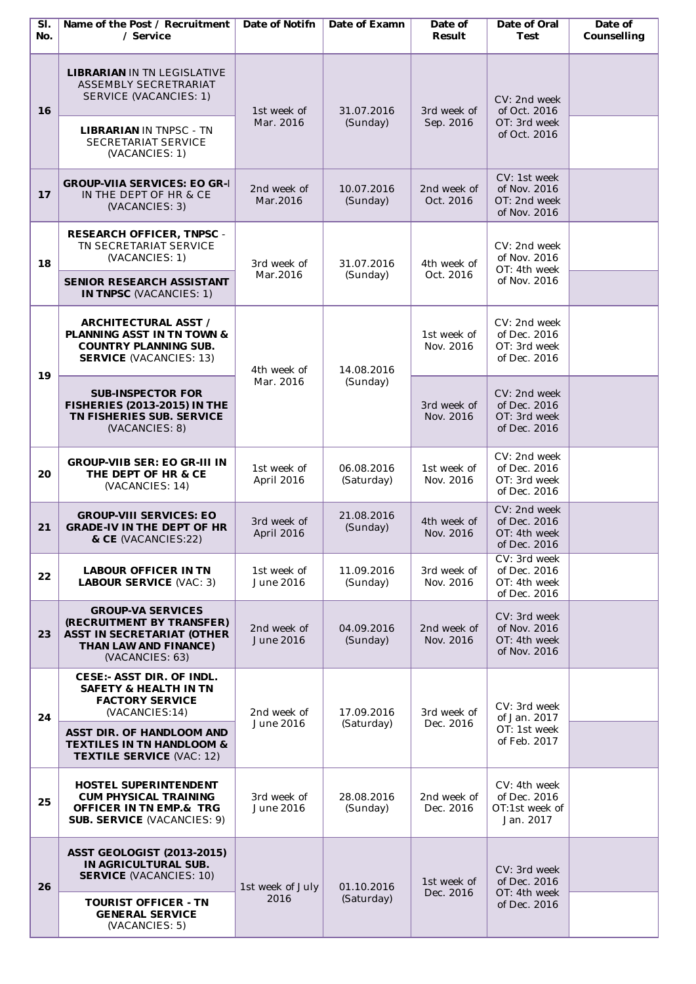| SI.<br>No. | Name of the Post / Recruitment<br>/ Service                                                                                                    | Date of Notifn                   | Date of Examn            | Date of<br>Result        | Date of Oral<br><b>Test</b>                                  | Date of<br>Counselling |
|------------|------------------------------------------------------------------------------------------------------------------------------------------------|----------------------------------|--------------------------|--------------------------|--------------------------------------------------------------|------------------------|
| 16         | <b>LIBRARIAN IN TN LEGISLATIVE</b><br>ASSEMBLY SECRETRARIAT<br>SERVICE (VACANCIES: 1)<br><b>LIBRARIAN IN TNPSC - TN</b><br>SECRETARIAT SERVICE | 1st week of<br>Mar. 2016         | 31.07.2016<br>(Sunday)   | 3rd week of<br>Sep. 2016 | CV: 2nd week<br>of Oct. 2016<br>OT: 3rd week<br>of Oct. 2016 |                        |
| 17         | (VACANCIES: 1)<br><b>GROUP-VIIA SERVICES: EO GR-I</b><br>IN THE DEPT OF HR & CE<br>(VACANCIES: 3)                                              | 2nd week of<br>Mar.2016          | 10.07.2016<br>(Sunday)   | 2nd week of<br>Oct. 2016 | CV: 1st week<br>of Nov. 2016<br>OT: 2nd week<br>of Nov. 2016 |                        |
| 18         | <b>RESEARCH OFFICER, TNPSC -</b><br>TN SECRETARIAT SERVICE<br>(VACANCIES: 1)<br>SENIOR RESEARCH ASSISTANT<br><b>IN TNPSC (VACANCIES: 1)</b>    | 3rd week of<br>Mar.2016          | 31.07.2016<br>(Sunday)   | 4th week of<br>Oct. 2016 | CV: 2nd week<br>of Nov. 2016<br>OT: 4th week<br>of Nov. 2016 |                        |
| 19         | <b>ARCHITECTURAL ASST /</b><br><b>PLANNING ASST IN TN TOWN &amp;</b><br><b>COUNTRY PLANNING SUB.</b><br><b>SERVICE (VACANCIES: 13)</b>         | 4th week of<br>Mar. 2016         | 14.08.2016<br>(Sunday)   | 1st week of<br>Nov. 2016 | CV: 2nd week<br>of Dec. 2016<br>OT: 3rd week<br>of Dec. 2016 |                        |
|            | <b>SUB-INSPECTOR FOR</b><br><b>FISHERIES (2013-2015) IN THE</b><br>TN FISHERIES SUB. SERVICE<br>(VACANCIES: 8)                                 |                                  |                          | 3rd week of<br>Nov. 2016 | CV: 2nd week<br>of Dec. 2016<br>OT: 3rd week<br>of Dec. 2016 |                        |
| 20         | <b>GROUP-VIIB SER: EO GR-III IN</b><br>THE DEPT OF HR & CE<br>(VACANCIES: 14)                                                                  | 1st week of<br>April 2016        | 06.08.2016<br>(Saturday) | 1st week of<br>Nov. 2016 | CV: 2nd week<br>of Dec. 2016<br>OT: 3rd week<br>of Dec. 2016 |                        |
| 21         | <b>GROUP-VIII SERVICES: EO</b><br><b>GRADE-IV IN THE DEPT OF HR</b><br>& CE (VACANCIES:22)                                                     | 3rd week of<br><b>April 2016</b> | 21.08.2016<br>(Sunday)   | 4th week of<br>Nov. 2016 | CV: 2nd week<br>of Dec. 2016<br>OT: 4th week<br>of Dec. 2016 |                        |
| 22         | <b>LABOUR OFFICER IN TN</b><br><b>LABOUR SERVICE (VAC: 3)</b>                                                                                  | 1st week of<br>June 2016         | 11.09.2016<br>(Sunday)   | 3rd week of<br>Nov. 2016 | CV: 3rd week<br>of Dec. 2016<br>OT: 4th week<br>of Dec. 2016 |                        |
| 23         | <b>GROUP-VA SERVICES</b><br>(RECRUITMENT BY TRANSFER)<br><b>ASST IN SECRETARIAT (OTHER</b><br>THAN LAW AND FINANCE)<br>(VACANCIES: 63)         | 2nd week of<br>June 2016         | 04.09.2016<br>(Sunday)   | 2nd week of<br>Nov. 2016 | CV: 3rd week<br>of Nov. 2016<br>OT: 4th week<br>of Nov. 2016 |                        |
| 24         | <b>CESE:- ASST DIR. OF INDL.</b><br><b>SAFETY &amp; HEALTH IN TN</b><br><b>FACTORY SERVICE</b><br>(VACANCIES:14)                               | 2nd week of<br>June 2016         | 17.09.2016<br>(Saturday) | 3rd week of<br>Dec. 2016 | CV: 3rd week<br>of Jan. 2017<br>OT: 1st week<br>of Feb. 2017 |                        |
|            | <b>ASST DIR. OF HANDLOOM AND</b><br><b>TEXTILES IN TN HANDLOOM &amp;</b><br><b>TEXTILE SERVICE (VAC: 12)</b>                                   |                                  |                          |                          |                                                              |                        |
| 25         | <b>HOSTEL SUPERINTENDENT</b><br><b>CUM PHYSICAL TRAINING</b><br><b>OFFICER IN TN EMP.&amp; TRG</b><br><b>SUB. SERVICE (VACANCIES: 9)</b>       | 3rd week of<br>June 2016         | 28.08.2016<br>(Sunday)   | 2nd week of<br>Dec. 2016 | CV: 4th week<br>of Dec. 2016<br>OT:1st week of<br>Jan. 2017  |                        |
| 26         | <b>ASST GEOLOGIST (2013-2015)</b><br>IN AGRICULTURAL SUB.<br><b>SERVICE (VACANCIES: 10)</b>                                                    | 1st week of July<br>2016         | 01.10.2016<br>(Saturday) | 1st week of<br>Dec. 2016 | CV: 3rd week<br>of Dec. 2016                                 |                        |
|            | <b>TOURIST OFFICER - TN</b><br><b>GENERAL SERVICE</b><br>(VACANCIES: 5)                                                                        |                                  |                          |                          | OT: 4th week<br>of Dec. 2016                                 |                        |